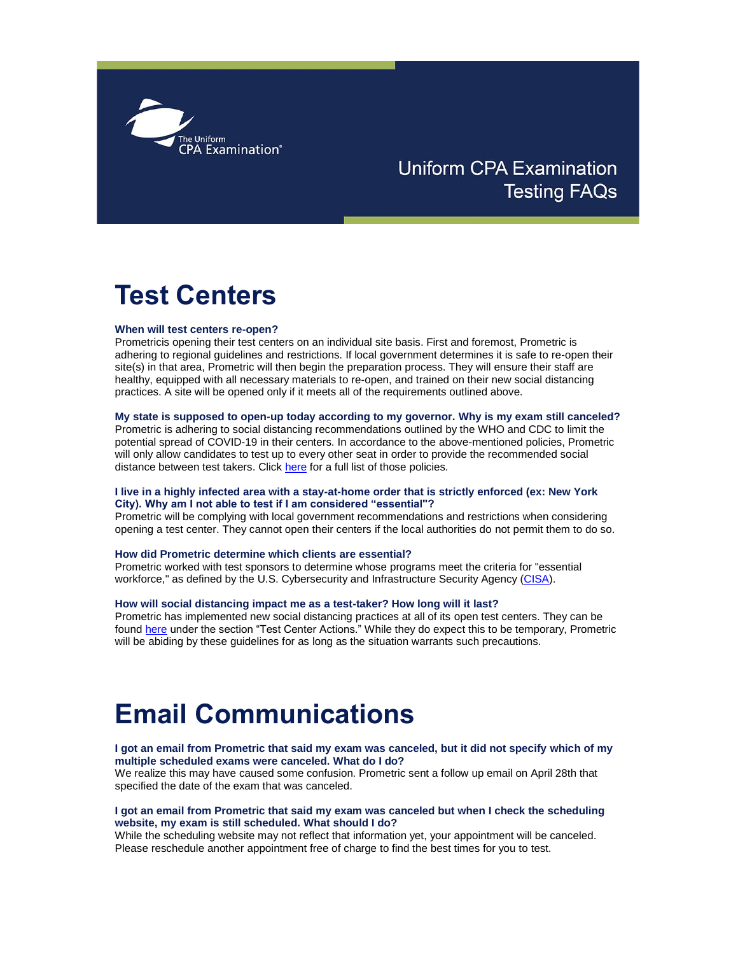

# **Uniform CPA Examination Testing FAQs**

# **Test Centers**

#### **When will test centers re-open?**

Prometricis opening their test centers on an individual site basis. First and foremost, Prometric is adhering to regional guidelines and restrictions. If local government determines it is safe to re-open their site(s) in that area, Prometric will then begin the preparation process. They will ensure their staff are healthy, equipped with all necessary materials to re-open, and trained on their new social distancing practices. A site will be opened only if it meets all of the requirements outlined above.

#### **My state is supposed to open-up today according to my governor. Why is my exam still canceled?**

Prometric is adhering to social distancing recommendations outlined by the WHO and CDC to limit the potential spread of COVID-19 in their centers. In accordance to the above-mentioned policies, Prometric will only allow candidates to test up to every other seat in order to provide the recommended social distance between test takers. Click [here](https://gcc02.safelinks.protection.outlook.com/?url=https%3A%2F%2Ft.e2ma.net%2Fclick%2Fjsh67b%2Fz0e6xe%2Fbmnwsm&data=02%7C01%7CKristen.Vanwinkle%40nebraska.gov%7C28d6939e844e4c0d2afc08d7ed3ce52b%7C043207dfe6894bf6902001038f11f0b1%7C0%7C0%7C637238718101760749&sdata=KfCcg%2BT7ZS2GbSxQkMFU3bTBfQXHnhf26qH1lkCJ4pE%3D&reserved=0) for a full list of those policies.

## **I live in a highly infected area with a stay-at-home order that is strictly enforced (ex: New York City). Why am I not able to test if I am considered "essential"?**

Prometric will be complying with local government recommendations and restrictions when considering opening a test center. They cannot open their centers if the local authorities do not permit them to do so.

#### **How did Prometric determine which clients are essential?**

Prometric worked with test sponsors to determine whose programs meet the criteria for "essential workforce," as defined by the U.S. Cybersecurity and Infrastructure Security Agency [\(CISA\)](https://gcc02.safelinks.protection.outlook.com/?url=https%3A%2F%2Ft.e2ma.net%2Fclick%2Fjsh67b%2Fz0e6xe%2Freowsm&data=02%7C01%7CKristen.Vanwinkle%40nebraska.gov%7C28d6939e844e4c0d2afc08d7ed3ce52b%7C043207dfe6894bf6902001038f11f0b1%7C0%7C0%7C637238718101760749&sdata=TnfAN4rnxQAWOI9U%2BIjzJ7WZS4xScnGaxdhO%2BVZ41pI%3D&reserved=0).

#### **How will social distancing impact me as a test-taker? How long will it last?**

Prometric has implemented new social distancing practices at all of its open test centers. They can be found [here](https://gcc02.safelinks.protection.outlook.com/?url=https%3A%2F%2Ft.e2ma.net%2Fclick%2Fjsh67b%2Fz0e6xe%2F76owsm&data=02%7C01%7CKristen.Vanwinkle%40nebraska.gov%7C28d6939e844e4c0d2afc08d7ed3ce52b%7C043207dfe6894bf6902001038f11f0b1%7C0%7C0%7C637238718101770744&sdata=zbjX2Yrk51f3lIWY2KMH3BT6UT0E6gmmF21oqlT2KbA%3D&reserved=0) under the section "Test Center Actions." While they do expect this to be temporary, Prometric will be abiding by these guidelines for as long as the situation warrants such precautions.

# **Email Communications**

### **I got an email from Prometric that said my exam was canceled, but it did not specify which of my multiple scheduled exams were canceled. What do I do?**

We realize this may have caused some confusion. Prometric sent a follow up email on April 28th that specified the date of the exam that was canceled.

#### **I got an email from Prometric that said my exam was canceled but when I check the scheduling website, my exam is still scheduled. What should I do?**

While the scheduling website may not reflect that information yet, your appointment will be canceled. Please reschedule another appointment free of charge to find the best times for you to test.